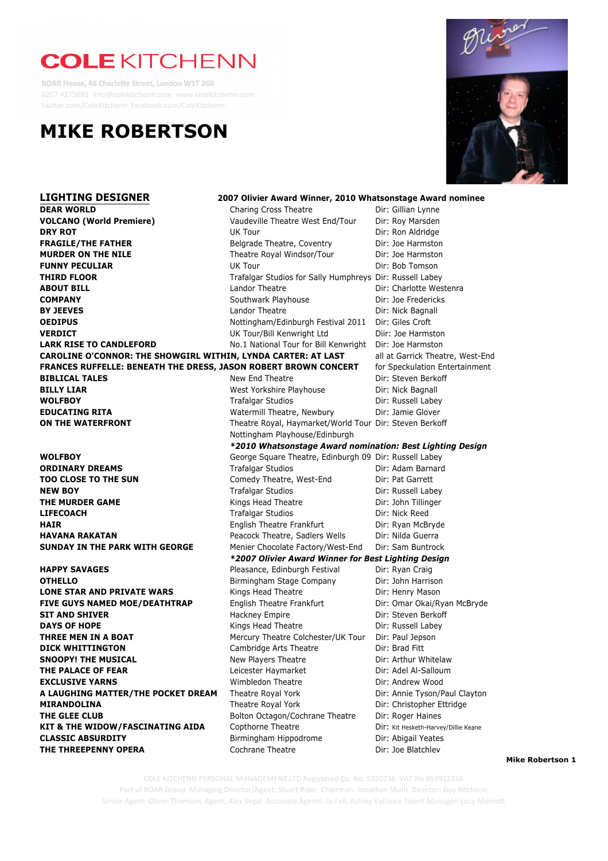# **COLE KITCHENN**

**ROAR House, 46 Charlotte Street, London W1T 2GS** 0207 4275681 info@colekitchenn.com www.colekitchenn.com twitter.com/ColeKitchenn facebook.com/ColeKitchenn





**Mike Robertson 1**

**DAYS OF THE COMMUNE** RADA Dir: Jamie Glover COLE KITCHENN PERSONAL MANAGEMENT LTD Registered Co. No: 5350236 VAT No 853912316 **THE SNOW WAN SHOW CONCYSTS OF SUGGACICA CONOCYSTS OF THE SUGGACICAL CONOCYSTS**<br>Part of ROAR Group Managing Director/Agent: Stuart Piper Chairman: Jonathan Shalit Director: Guy Kitchenn Senior Agent: Oliver Thomson Agent: Alex Segal Associate Agents: Jo Fell, Ashley Vallance Talent Manager: Lucy Marriott

**THE THREEPENNY OPERA** Cochrane Theatre Dir: Joe Blatchley